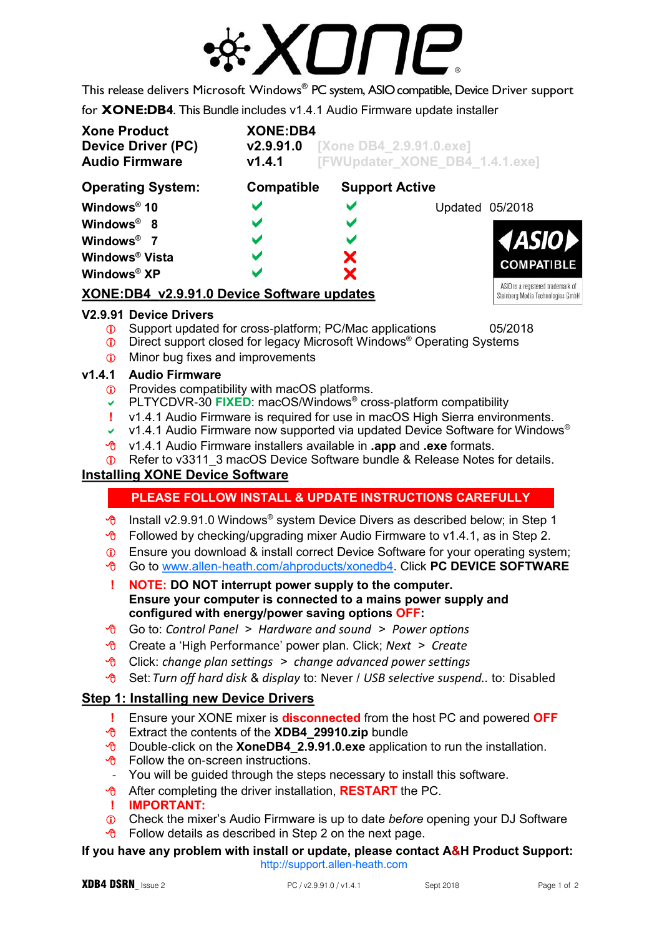

This release delivers Microsoft Windows® PC system, ASIOcompatible, Device Driver support

for **XONE:DB4**. This Bundle includes v1.4.1 Audio Firmware update installer

| <b>Xone Product</b><br><b>Device Driver (PC)</b><br><b>Audio Firmware</b> | <b>XONE:DB4</b><br><b>v2.9.91.0</b> [Xone DB4_2.9.91.0.exe]<br>[FWUpdater_XONE_DB4_1.4.1.exe]<br>V1.4.1 |                       |                                   |
|---------------------------------------------------------------------------|---------------------------------------------------------------------------------------------------------|-----------------------|-----------------------------------|
| <b>Compatible</b><br><b>Support Active</b><br><b>Operating System:</b>    |                                                                                                         |                       |                                   |
| Windows <sup>®</sup> 10                                                   | V                                                                                                       | $\blacktriangleright$ | Updated 05/2018                   |
| Windows <sup>®</sup> 8                                                    | V                                                                                                       | $\blacktriangleright$ |                                   |
| Windows <sup>®</sup> 7                                                    | V                                                                                                       | $\blacktriangleright$ | <b>4ASIOD</b>                     |
| <b>Windows® Vista</b>                                                     | V                                                                                                       | X                     | <b>COMPATIBLE</b>                 |
| Windows <sup>®</sup> XP                                                   | V                                                                                                       | X                     |                                   |
|                                                                           |                                                                                                         |                       | ASIO is a registered trademark of |

## **XONE:DB4\_v2.9.91.0 Device Software updates**

#### **V2.9.91 Device Drivers**

- **C** Support updated for cross-platform; PC/Mac applications 05/2018
- **1** Direct support closed for legacy Microsoft Windows<sup>®</sup> Operating Systems
- **The Minor bug fixes and improvements**

#### **v1.4.1 Audio Firmware**

- **C** Provides compatibility with macOS platforms.
- PLTYCDVR-30 **FIXED**: macOS/Windows® cross-platform compatibility
- **!** v1.4.1 Audio Firmware is required for use in macOS High Sierra environments.
- v 1.4.1 Audio Firmware now supported via updated Device Software for Windows<sup>®</sup>
- v1.4.1 Audio Firmware installers available in **.app** and **.exe** formats.
- **C** Refer to v3311\_3 macOS Device Software bundle & Release Notes for details.

## **Installing XONE Device Software**

# **PLEASE FOLLOW INSTALL & UPDATE INSTRUCTIONS CAREFULLY**

- $\sqrt{\theta}$  Install v2.9.91.0 Windows<sup>®</sup> system Device Divers as described below; in Step 1
- $\sqrt{\theta}$  Followed by checking/upgrading mixer Audio Firmware to v1.4.1, as in Step 2.
- **C** Ensure you download & install correct Device Software for your operating system;
- Go to [www.allen-heath.com/ahproducts/xonedb4.](https://www.allen-heath.com/ahproducts/xonedb4/#tab5) Click **PC DEVICE SOFTWARE**
- **! NOTE: DO NOT interrupt power supply to the computer. Ensure your computer is connected to a mains power supply and configured with energy/power saving options OFF:**
- Go to: *Control Panel > Hardware and sound > Power options*
- Create a 'High Performance' power plan. Click; *Next > Create*
- Click: *change plan settings > change advanced power settings*
- Set: *Turn off hard disk* & *display* to: Never / *USB selective suspend..* to: Disabled

#### **Step 1: Installing new Device Drivers**

- **!** Ensure your XONE mixer is **disconnected** from the host PC and powered **OFF**
- Extract the contents of the **XDB4\_29910.zip** bundle
- Double-click on the **XoneDB4\_2.9.91.0.exe** application to run the installation.
- $\Theta$  Follow the on-screen instructions.
- You will be guided through the steps necessary to install this software.
- After completing the driver installation, **RESTART** the PC.
- **! IMPORTANT:**
- Check the mixer's Audio Firmware is up to date *before* opening your DJ Software
- $\sqrt{6}$  Follow details as described in Step 2 on the next page.

#### **If you have any problem with install or update, please contact A&H Product Support:** [http://support.allen-heath.com](http://support.allen-heath.com/Base/UserRegistration/Register)

Steinberg Media Technologies GmbH